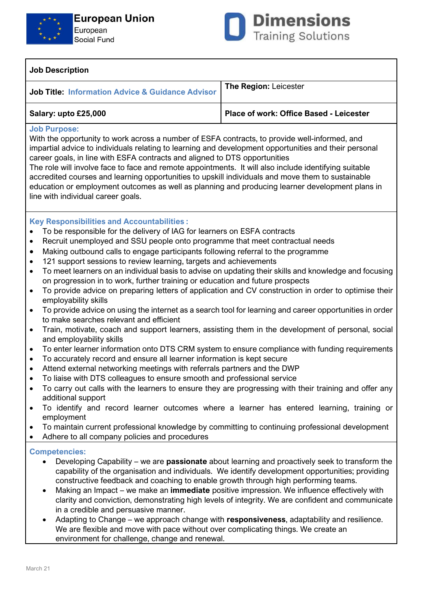



## **Job Description**

| <b>Job Title: Information Advice &amp; Guidance Advisor</b> | The Region: Leicester                   |  |
|-------------------------------------------------------------|-----------------------------------------|--|
| Salary: upto £25,000                                        | Place of work: Office Based - Leicester |  |

## **Job Purpose:**

With the opportunity to work across a number of ESFA contracts, to provide well-informed, and impartial advice to individuals relating to learning and development opportunities and their personal career goals, in line with ESFA contracts and aligned to DTS opportunities

The role will involve face to face and remote appointments. It will also include identifying suitable accredited courses and learning opportunities to upskill individuals and move them to sustainable education or employment outcomes as well as planning and producing learner development plans in line with individual career goals.

## **Key Responsibilities and Accountabilities :**

- To be responsible for the delivery of IAG for learners on ESFA contracts
- Recruit unemployed and SSU people onto programme that meet contractual needs
- Making outbound calls to engage participants following referral to the programme
- 121 support sessions to review learning, targets and achievements
- To meet learners on an individual basis to advise on updating their skills and knowledge and focusing on progression in to work, further training or education and future prospects
- To provide advice on preparing letters of application and CV construction in order to optimise their employability skills
- To provide advice on using the internet as a search tool for learning and career opportunities in order to make searches relevant and efficient
- Train, motivate, coach and support learners, assisting them in the development of personal, social and employability skills
- To enter learner information onto DTS CRM system to ensure compliance with funding requirements
- To accurately record and ensure all learner information is kept secure
- Attend external networking meetings with referrals partners and the DWP
- To liaise with DTS colleagues to ensure smooth and professional service
- To carry out calls with the learners to ensure they are progressing with their training and offer any additional support
- To identify and record learner outcomes where a learner has entered learning, training or employment
- To maintain current professional knowledge by committing to continuing professional development
- Adhere to all company policies and procedures

## **Competencies:**

- Developing Capability we are **passionate** about learning and proactively seek to transform the capability of the organisation and individuals. We identify development opportunities; providing constructive feedback and coaching to enable growth through high performing teams.
- Making an Impact we make an **immediate** positive impression. We influence effectively with clarity and conviction, demonstrating high levels of integrity. We are confident and communicate in a credible and persuasive manner.
- Adapting to Change we approach change with **responsiveness**, adaptability and resilience. We are flexible and move with pace without over complicating things. We create an environment for challenge, change and renewal.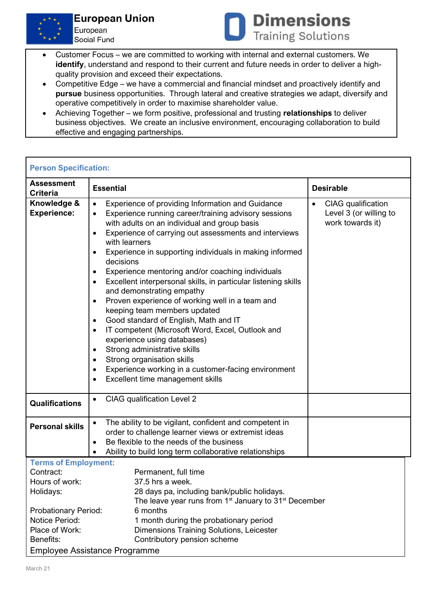



- Customer Focus we are committed to working with internal and external customers. We **identify**, understand and respond to their current and future needs in order to deliver a highquality provision and exceed their expectations.
- Competitive Edge we have a commercial and financial mindset and proactively identify and **pursue** business opportunities. Through lateral and creative strategies we adapt, diversify and operative competitively in order to maximise shareholder value.
- Achieving Together we form positive, professional and trusting **relationships** to deliver business objectives. We create an inclusive environment, encouraging collaboration to build effective and engaging partnerships.

| <b>Person Specification:</b>                                                                                                                            |                                                                                                                                                                                                                                                                                                                                                                                                                                                                                                                                                                                                                                                                                                                                                                                                                                                                                                                                                           |                                                                                      |
|---------------------------------------------------------------------------------------------------------------------------------------------------------|-----------------------------------------------------------------------------------------------------------------------------------------------------------------------------------------------------------------------------------------------------------------------------------------------------------------------------------------------------------------------------------------------------------------------------------------------------------------------------------------------------------------------------------------------------------------------------------------------------------------------------------------------------------------------------------------------------------------------------------------------------------------------------------------------------------------------------------------------------------------------------------------------------------------------------------------------------------|--------------------------------------------------------------------------------------|
| <b>Assessment</b><br><b>Criteria</b>                                                                                                                    | <b>Essential</b>                                                                                                                                                                                                                                                                                                                                                                                                                                                                                                                                                                                                                                                                                                                                                                                                                                                                                                                                          | <b>Desirable</b>                                                                     |
| Knowledge &<br><b>Experience:</b>                                                                                                                       | Experience of providing Information and Guidance<br>$\bullet$<br>Experience running career/training advisory sessions<br>$\bullet$<br>with adults on an individual and group basis<br>Experience of carrying out assessments and interviews<br>$\bullet$<br>with learners<br>Experience in supporting individuals in making informed<br>٠<br>decisions<br>Experience mentoring and/or coaching individuals<br>$\bullet$<br>Excellent interpersonal skills, in particular listening skills<br>$\bullet$<br>and demonstrating empathy<br>Proven experience of working well in a team and<br>٠<br>keeping team members updated<br>Good standard of English, Math and IT<br>$\bullet$<br>IT competent (Microsoft Word, Excel, Outlook and<br>$\bullet$<br>experience using databases)<br>Strong administrative skills<br>٠<br>Strong organisation skills<br>٠<br>Experience working in a customer-facing environment<br>٠<br>Excellent time management skills | <b>CIAG</b> qualification<br>$\bullet$<br>Level 3 (or willing to<br>work towards it) |
| <b>Qualifications</b>                                                                                                                                   | <b>CIAG</b> qualification Level 2<br>$\bullet$                                                                                                                                                                                                                                                                                                                                                                                                                                                                                                                                                                                                                                                                                                                                                                                                                                                                                                            |                                                                                      |
| <b>Personal skills</b>                                                                                                                                  | The ability to be vigilant, confident and competent in<br>$\bullet$<br>order to challenge learner views or extremist ideas<br>Be flexible to the needs of the business<br>$\bullet$<br>Ability to build long term collaborative relationships                                                                                                                                                                                                                                                                                                                                                                                                                                                                                                                                                                                                                                                                                                             |                                                                                      |
| <b>Terms of Employment:</b><br>Contract:<br>Hours of work:<br>Holidays:<br>Probationary Period:<br><b>Notice Period:</b><br>Place of Work:<br>Benefits: | Permanent, full time<br>37.5 hrs a week.<br>28 days pa, including bank/public holidays.<br>The leave year runs from 1 <sup>st</sup> January to 31 <sup>st</sup> December<br>6 months<br>1 month during the probationary period<br><b>Dimensions Training Solutions, Leicester</b><br>Contributory pension scheme<br>Employee Assistance Programme                                                                                                                                                                                                                                                                                                                                                                                                                                                                                                                                                                                                         |                                                                                      |